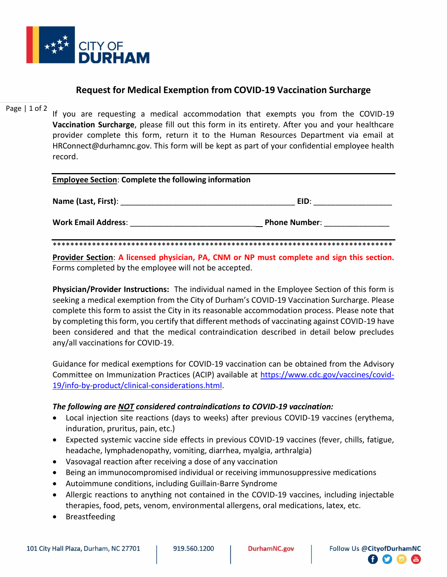

## **Request for Medical Exemption from COVID-19 Vaccination Surcharge**

## Page  $|1$  of 2

If you are requesting a medical accommodation that exempts you from the COVID-19 Vaccination Surcharge, please fill out this form in its entirety. After you and your healthcare provider complete this form, return it to the Human Resources Department via email at HRConnect@durhamnc.gov. This form will be kept as part of your confidential employee health record.

| <b>Employee Section: Complete the following information</b> |                      |  |  |  |
|-------------------------------------------------------------|----------------------|--|--|--|
| Name (Last, First): Name (Last, First)                      | EID:                 |  |  |  |
| <b>Work Email Address:</b>                                  | <b>Phone Number:</b> |  |  |  |

Provider Section: A licensed physician, PA, CNM or NP must complete and sign this section. Forms completed by the employee will not be accepted.

Physician/Provider Instructions: The individual named in the Employee Section of this form is seeking a medical exemption from the City of Durham's COVID-19 Vaccination Surcharge. Please complete this form to assist the City in its reasonable accommodation process. Please note that by completing this form, you certify that different methods of vaccinating against COVID-19 have been considered and that the medical contraindication described in detail below precludes any/all vaccinations for COVID-19.

Guidance for medical exemptions for COVID-19 vaccination can be obtained from the Advisory Committee on Immunization Practices (ACIP) available at https://www.cdc.gov/vaccines/covid-19/info-by-product/clinical-considerations.html.

## The following are **NOT** considered contraindications to COVID-19 vaccination:

- Local injection site reactions (days to weeks) after previous COVID-19 vaccines (erythema, induration, pruritus, pain, etc.)
- Expected systemic vaccine side effects in previous COVID-19 vaccines (fever, chills, fatigue, headache, lymphadenopathy, vomiting, diarrhea, myalgia, arthralgia)
- Vasovagal reaction after receiving a dose of any vaccination
- Being an immunocompromised individual or receiving immunosuppressive medications
- Autoimmune conditions, including Guillain-Barre Syndrome
- Allergic reactions to anything not contained in the COVID-19 vaccines, including injectable therapies, food, pets, venom, environmental allergens, oral medications, latex, etc.
- Breastfeeding